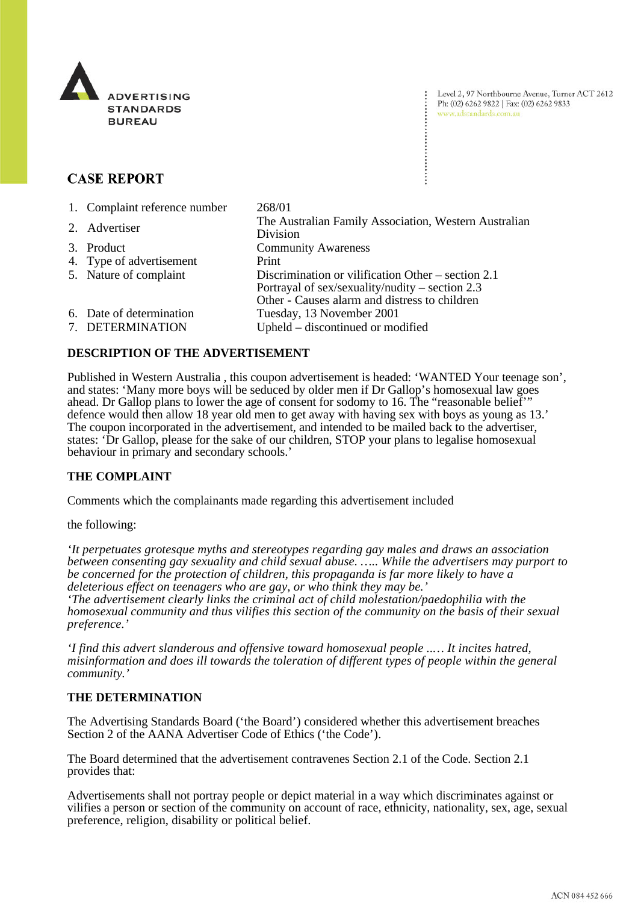

Level 2, 97 Northbourne Avenue, Turner ACT 2612 Ph: (02) 6262 9822 | Fax: (02) 6262 9833 www.adstandards.com.au

# **CASE REPORT**

| 1. Complaint reference number                | 268/01                                                                                                                                                   |
|----------------------------------------------|----------------------------------------------------------------------------------------------------------------------------------------------------------|
| 2. Advertiser                                | The Australian Family Association, Western Australian<br>Division                                                                                        |
| 3. Product                                   | <b>Community Awareness</b>                                                                                                                               |
| 4. Type of advertisement                     | Print                                                                                                                                                    |
| 5. Nature of complaint                       | Discrimination or vilification Other – section 2.1<br>Portrayal of sex/sexuality/nudity – section $2.3$<br>Other - Causes alarm and distress to children |
| 6. Date of determination<br>7. DETERMINATION | Tuesday, 13 November 2001<br>Upheld – discontinued or modified                                                                                           |

## **DESCRIPTION OF THE ADVERTISEMENT**

Published in Western Australia , this coupon advertisement is headed: 'WANTED Your teenage son', and states: 'Many more boys will be seduced by older men if Dr Gallop's homosexual law goes ahead. Dr Gallop plans to lower the age of consent for sodomy to 16. The "reasonable belief'" defence would then allow 18 year old men to get away with having sex with boys as young as 13.' The coupon incorporated in the advertisement, and intended to be mailed back to the advertiser, states: 'Dr Gallop, please for the sake of our children, STOP your plans to legalise homosexual behaviour in primary and secondary schools.'

### **THE COMPLAINT**

Comments which the complainants made regarding this advertisement included

the following:

*'It perpetuates grotesque myths and stereotypes regarding gay males and draws an association between consenting gay sexuality and child sexual abuse. ….. While the advertisers may purport to be concerned for the protection of children, this propaganda is far more likely to have a deleterious effect on teenagers who are gay, or who think they may be.' 'The advertisement clearly links the criminal act of child molestation/paedophilia with the homosexual community and thus vilifies this section of the community on the basis of their sexual preference.'*

*'I find this advert slanderous and offensive toward homosexual people ..… It incites hatred, misinformation and does ill towards the toleration of different types of people within the general community.'*

#### **THE DETERMINATION**

The Advertising Standards Board ('the Board') considered whether this advertisement breaches Section 2 of the AANA Advertiser Code of Ethics ('the Code').

The Board determined that the advertisement contravenes Section 2.1 of the Code. Section 2.1 provides that:

Advertisements shall not portray people or depict material in a way which discriminates against or vilifies a person or section of the community on account of race, ethnicity, nationality, sex, age, sexual preference, religion, disability or political belief.